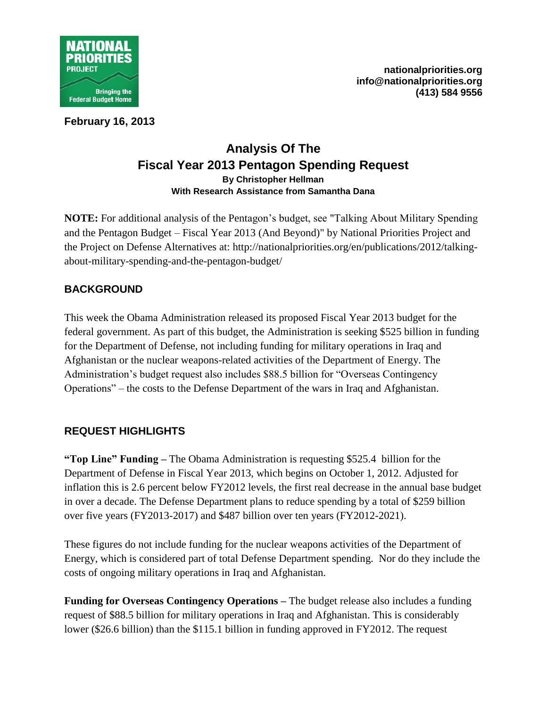

**February 16, 2013**

# **Analysis Of The Fiscal Year 2013 Pentagon Spending Request By Christopher Hellman With Research Assistance from Samantha Dana**

**NOTE:** For additional analysis of the Pentagon's budget, see "Talking About Military Spending and the Pentagon Budget – Fiscal Year 2013 (And Beyond)" by National Priorities Project and the Project on Defense Alternatives at: http://nationalpriorities.org/en/publications/2012/talkingabout-military-spending-and-the-pentagon-budget/

# **BACKGROUND**

This week the Obama Administration released its proposed Fiscal Year 2013 budget for the federal government. As part of this budget, the Administration is seeking \$525 billion in funding for the Department of Defense, not including funding for military operations in Iraq and Afghanistan or the nuclear weapons-related activities of the Department of Energy. The Administration's budget request also includes \$88.5 billion for "Overseas Contingency Operations" – the costs to the Defense Department of the wars in Iraq and Afghanistan.

## **REQUEST HIGHLIGHTS**

**"Top Line" Funding –** The Obama Administration is requesting \$525.4 billion for the Department of Defense in Fiscal Year 2013, which begins on October 1, 2012. Adjusted for inflation this is 2.6 percent below FY2012 levels, the first real decrease in the annual base budget in over a decade. The Defense Department plans to reduce spending by a total of \$259 billion over five years (FY2013-2017) and \$487 billion over ten years (FY2012-2021).

These figures do not include funding for the nuclear weapons activities of the Department of Energy, which is considered part of total Defense Department spending. Nor do they include the costs of ongoing military operations in Iraq and Afghanistan.

**Funding for Overseas Contingency Operations –** The budget release also includes a funding request of \$88.5 billion for military operations in Iraq and Afghanistan. This is considerably lower (\$26.6 billion) than the \$115.1 billion in funding approved in FY2012. The request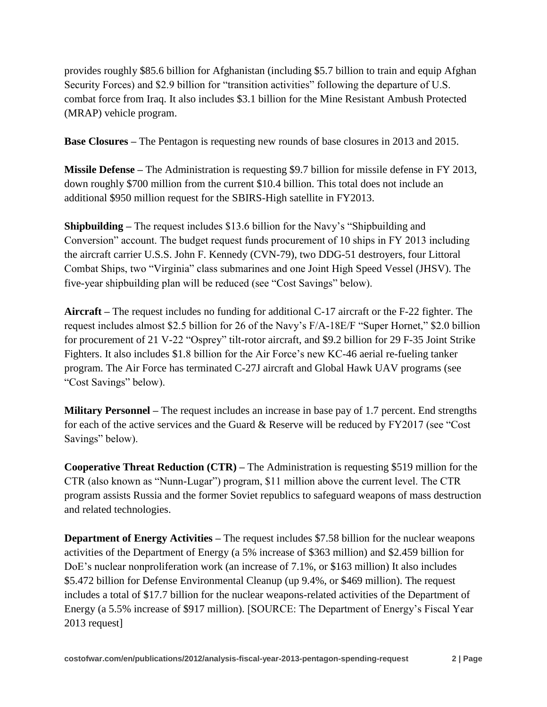provides roughly \$85.6 billion for Afghanistan (including \$5.7 billion to train and equip Afghan Security Forces) and \$2.9 billion for "transition activities" following the departure of U.S. combat force from Iraq. It also includes \$3.1 billion for the Mine Resistant Ambush Protected (MRAP) vehicle program.

**Base Closures –** The Pentagon is requesting new rounds of base closures in 2013 and 2015.

**Missile Defense –** The Administration is requesting \$9.7 billion for missile defense in FY 2013, down roughly \$700 million from the current \$10.4 billion. This total does not include an additional \$950 million request for the SBIRS-High satellite in FY2013.

**Shipbuilding –** The request includes \$13.6 billion for the Navy's "Shipbuilding and Conversion" account. The budget request funds procurement of 10 ships in FY 2013 including the aircraft carrier U.S.S. John F. Kennedy (CVN-79), two DDG-51 destroyers, four Littoral Combat Ships, two "Virginia" class submarines and one Joint High Speed Vessel (JHSV). The five-year shipbuilding plan will be reduced (see "Cost Savings" below).

**Aircraft –** The request includes no funding for additional C-17 aircraft or the F-22 fighter. The request includes almost \$2.5 billion for 26 of the Navy's F/A-18E/F "Super Hornet," \$2.0 billion for procurement of 21 V-22 "Osprey" tilt-rotor aircraft, and \$9.2 billion for 29 F-35 Joint Strike Fighters. It also includes \$1.8 billion for the Air Force's new KC-46 aerial re-fueling tanker program. The Air Force has terminated C-27J aircraft and Global Hawk UAV programs (see "Cost Savings" below).

**Military Personnel –** The request includes an increase in base pay of 1.7 percent. End strengths for each of the active services and the Guard & Reserve will be reduced by FY2017 (see "Cost Savings" below).

**Cooperative Threat Reduction (CTR) –** The Administration is requesting \$519 million for the CTR (also known as "Nunn-Lugar") program, \$11 million above the current level. The CTR program assists Russia and the former Soviet republics to safeguard weapons of mass destruction and related technologies.

**Department of Energy Activities –** The request includes \$7.58 billion for the nuclear weapons activities of the Department of Energy (a 5% increase of \$363 million) and \$2.459 billion for DoE's nuclear nonproliferation work (an increase of 7.1%, or \$163 million) It also includes \$5.472 billion for Defense Environmental Cleanup (up 9.4%, or \$469 million). The request includes a total of \$17.7 billion for the nuclear weapons-related activities of the Department of Energy (a 5.5% increase of \$917 million). [SOURCE: The Department of Energy's Fiscal Year 2013 request]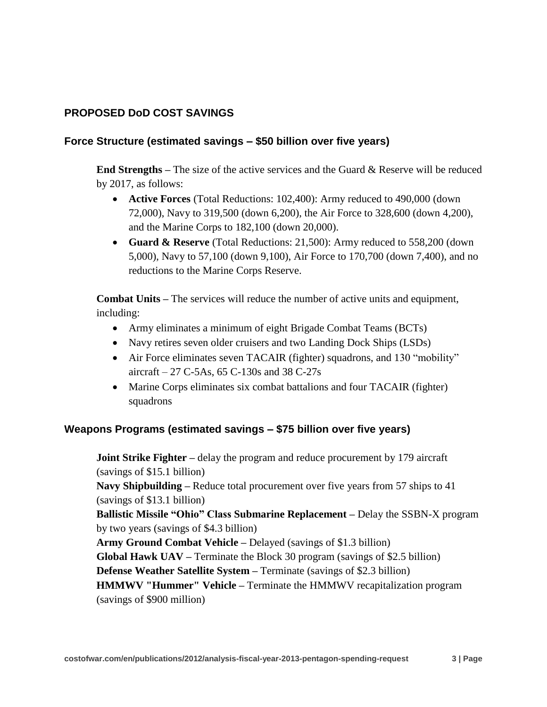### **PROPOSED DoD COST SAVINGS**

#### **Force Structure (estimated savings – \$50 billion over five years)**

**End Strengths –** The size of the active services and the Guard & Reserve will be reduced by 2017, as follows:

- **Active Forces** (Total Reductions: 102,400): Army reduced to 490,000 (down 72,000), Navy to 319,500 (down 6,200), the Air Force to 328,600 (down 4,200), and the Marine Corps to 182,100 (down 20,000).
- **Guard & Reserve** (Total Reductions: 21,500): Army reduced to 558,200 (down 5,000), Navy to 57,100 (down 9,100), Air Force to 170,700 (down 7,400), and no reductions to the Marine Corps Reserve.

**Combat Units –** The services will reduce the number of active units and equipment, including:

- Army eliminates a minimum of eight Brigade Combat Teams (BCTs)
- Navy retires seven older cruisers and two Landing Dock Ships (LSDs)
- Air Force eliminates seven TACAIR (fighter) squadrons, and 130 "mobility" aircraft – 27 C-5As, 65 C-130s and 38 C-27s
- Marine Corps eliminates six combat battalions and four TACAIR (fighter) squadrons

#### **Weapons Programs (estimated savings – \$75 billion over five years)**

**Joint Strike Fighter** – delay the program and reduce procurement by 179 aircraft (savings of \$15.1 billion) **Navy Shipbuilding –** Reduce total procurement over five years from 57 ships to 41 (savings of \$13.1 billion) **Ballistic Missile "Ohio" Class Submarine Replacement –** Delay the SSBN-X program by two years (savings of \$4.3 billion) **Army Ground Combat Vehicle –** Delayed (savings of \$1.3 billion) **Global Hawk UAV –** Terminate the Block 30 program (savings of \$2.5 billion) **Defense Weather Satellite System –** Terminate (savings of \$2.3 billion) **HMMWV "Hummer" Vehicle –** Terminate the HMMWV recapitalization program (savings of \$900 million)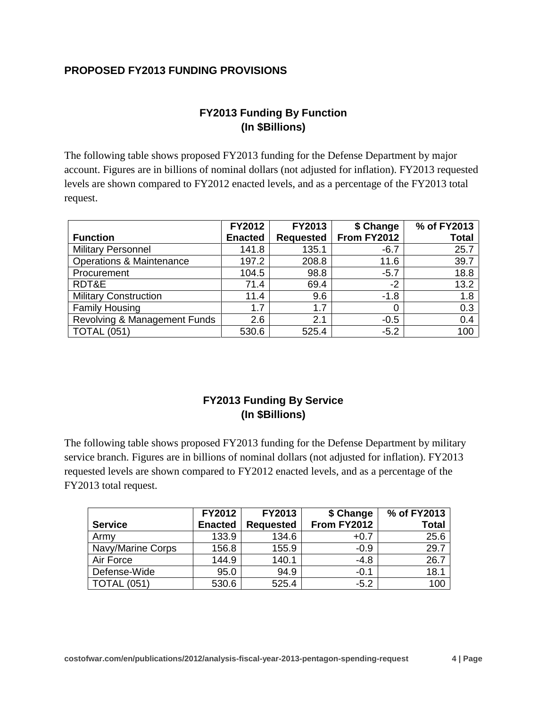#### **PROPOSED FY2013 FUNDING PROVISIONS**

# **FY2013 Funding By Function (In \$Billions)**

The following table shows proposed FY2013 funding for the Defense Department by major account. Figures are in billions of nominal dollars (not adjusted for inflation). FY2013 requested levels are shown compared to FY2012 enacted levels, and as a percentage of the FY2013 total request.

|                                     | FY2012         | FY2013           | \$ Change   | % of FY2013  |
|-------------------------------------|----------------|------------------|-------------|--------------|
| <b>Function</b>                     | <b>Enacted</b> | <b>Requested</b> | From FY2012 | <b>Total</b> |
| <b>Military Personnel</b>           | 141.8          | 135.1            | $-6.7$      | 25.7         |
| <b>Operations &amp; Maintenance</b> | 197.2          | 208.8            | 11.6        | 39.7         |
| Procurement                         | 104.5          | 98.8             | $-5.7$      | 18.8         |
| RDT&E                               | 71.4           | 69.4             | $-2$        | 13.2         |
| <b>Military Construction</b>        | 11.4           | 9.6              | $-1.8$      | 1.8          |
| <b>Family Housing</b>               | 1.7            | 1.7              |             | 0.3          |
| Revolving & Management Funds        | 2.6            | 2.1              | $-0.5$      | 0.4          |
| <b>TOTAL (051)</b>                  | 530.6          | 525.4            | $-5.2$      | 100          |

### **FY2013 Funding By Service (In \$Billions)**

The following table shows proposed FY2013 funding for the Defense Department by military service branch. Figures are in billions of nominal dollars (not adjusted for inflation). FY2013 requested levels are shown compared to FY2012 enacted levels, and as a percentage of the FY2013 total request.

|                   | <b>FY2012</b>  | FY2013           | \$ Change   | % of FY2013  |
|-------------------|----------------|------------------|-------------|--------------|
| <b>Service</b>    | <b>Enacted</b> | <b>Requested</b> | From FY2012 | <b>Total</b> |
| Army              | 133.9          | 134.6            | $+0.7$      | 25.6         |
| Navy/Marine Corps | 156.8          | 155.9            | $-0.9$      | 29.7         |
| Air Force         | 144.9          | 140.1            | $-4.8$      | 26.7         |
| Defense-Wide      | 95.0           | 94.9             | $-0.1$      | 18.1         |
| (051)             | 530.6          | 525.4            | $-5.2$      | 100          |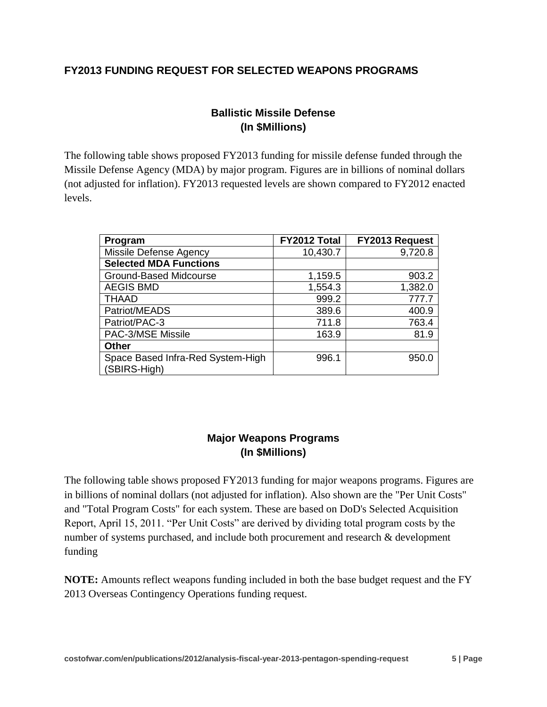#### **FY2013 FUNDING REQUEST FOR SELECTED WEAPONS PROGRAMS**

### **Ballistic Missile Defense (In \$Millions)**

The following table shows proposed FY2013 funding for missile defense funded through the Missile Defense Agency (MDA) by major program. Figures are in billions of nominal dollars (not adjusted for inflation). FY2013 requested levels are shown compared to FY2012 enacted levels.

| Program                                           | FY2012 Total | FY2013 Request |
|---------------------------------------------------|--------------|----------------|
| Missile Defense Agency                            | 10,430.7     | 9,720.8        |
| <b>Selected MDA Functions</b>                     |              |                |
| Ground-Based Midcourse                            | 1,159.5      | 903.2          |
| <b>AEGIS BMD</b>                                  | 1,554.3      | 1,382.0        |
| <b>THAAD</b>                                      | 999.2        | 777.7          |
| Patriot/MEADS                                     | 389.6        | 400.9          |
| Patriot/PAC-3                                     | 711.8        | 763.4          |
| PAC-3/MSE Missile                                 | 163.9        | 81.9           |
| <b>Other</b>                                      |              |                |
| Space Based Infra-Red System-High<br>(SBIRS-High) | 996.1        | 950.0          |

#### **Major Weapons Programs (In \$Millions)**

The following table shows proposed FY2013 funding for major weapons programs. Figures are in billions of nominal dollars (not adjusted for inflation). Also shown are the "Per Unit Costs" and "Total Program Costs" for each system. These are based on DoD's Selected Acquisition Report, April 15, 2011. "Per Unit Costs" are derived by dividing total program costs by the number of systems purchased, and include both procurement and research & development funding

**NOTE:** Amounts reflect weapons funding included in both the base budget request and the FY 2013 Overseas Contingency Operations funding request.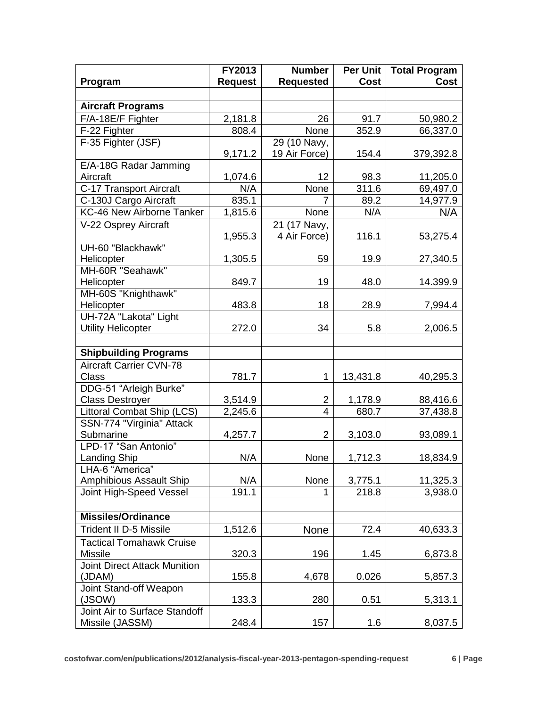|                                     | FY2013         | <b>Number</b>             | <b>Per Unit</b> | <b>Total Program</b> |
|-------------------------------------|----------------|---------------------------|-----------------|----------------------|
| Program                             | <b>Request</b> | <b>Requested</b>          | <b>Cost</b>     | <b>Cost</b>          |
|                                     |                |                           |                 |                      |
| <b>Aircraft Programs</b>            |                |                           |                 |                      |
| F/A-18E/F Fighter                   | 2,181.8        | 26                        | 91.7            | 50,980.2             |
| F-22 Fighter                        | 808.4          | None                      | 352.9           | 66,337.0             |
| F-35 Fighter (JSF)                  |                | 29 (10 Navy,              |                 |                      |
|                                     | 9,171.2        | 19 Air Force)             | 154.4           | 379,392.8            |
| E/A-18G Radar Jamming               |                |                           |                 |                      |
| Aircraft                            | 1,074.6        | 12                        | 98.3            | 11,205.0             |
| C-17 Transport Aircraft             | N/A            | None                      | 311.6           | 69,497.0             |
| C-130J Cargo Aircraft               | 835.1          | 7                         | 89.2            | 14,977.9             |
| KC-46 New Airborne Tanker           | 1,815.6        | None                      | N/A             | N/A                  |
| V-22 Osprey Aircraft                |                | $\overline{21}$ (17 Navy, |                 |                      |
|                                     | 1,955.3        | 4 Air Force)              | 116.1           | 53,275.4             |
| UH-60 "Blackhawk"                   |                |                           |                 |                      |
| Helicopter                          | 1,305.5        | 59                        | 19.9            | 27,340.5             |
| MH-60R "Seahawk"                    |                |                           |                 |                      |
| Helicopter                          | 849.7          | 19                        | 48.0            | 14.399.9             |
| MH-60S "Knighthawk"                 |                |                           |                 |                      |
| Helicopter                          | 483.8          | 18                        | 28.9            | 7,994.4              |
| UH-72A "Lakota" Light               |                |                           |                 |                      |
| <b>Utility Helicopter</b>           | 272.0          | 34                        | 5.8             | 2,006.5              |
|                                     |                |                           |                 |                      |
| <b>Shipbuilding Programs</b>        |                |                           |                 |                      |
| <b>Aircraft Carrier CVN-78</b>      |                |                           |                 |                      |
| <b>Class</b>                        | 781.7          | 1                         | 13,431.8        | 40,295.3             |
| DDG-51 "Arleigh Burke"              |                |                           |                 |                      |
| <b>Class Destroyer</b>              | 3,514.9        | $\overline{2}$            | 1,178.9         | 88,416.6             |
| Littoral Combat Ship (LCS)          | 2,245.6        | $\overline{4}$            | 680.7           | 37,438.8             |
| SSN-774 "Virginia" Attack           |                |                           |                 |                      |
| Submarine                           | 4,257.7        | $\overline{2}$            | 3,103.0         | 93,089.1             |
| LPD-17 "San Antonio"                |                |                           |                 |                      |
| <b>Landing Ship</b>                 | N/A            | None                      | 1,712.3         | 18,834.9             |
| LHA-6 "America"                     |                |                           |                 |                      |
| Amphibious Assault Ship             | N/A            | None                      | 3,775.1         | 11,325.3             |
| Joint High-Speed Vessel             | 191.1          |                           | 218.8           | 3,938.0              |
|                                     |                |                           |                 |                      |
| <b>Missiles/Ordinance</b>           |                |                           |                 |                      |
| <b>Trident II D-5 Missile</b>       | 1,512.6        | <b>None</b>               | 72.4            | 40,633.3             |
| <b>Tactical Tomahawk Cruise</b>     |                |                           |                 |                      |
| <b>Missile</b>                      | 320.3          | 196                       | 1.45            | 6,873.8              |
| <b>Joint Direct Attack Munition</b> |                |                           |                 |                      |
| (JDAM)                              | 155.8          | 4,678                     | 0.026           | 5,857.3              |
| Joint Stand-off Weapon              |                |                           |                 |                      |
| (JSOW)                              | 133.3          | 280                       | 0.51            | 5,313.1              |
| Joint Air to Surface Standoff       |                |                           |                 |                      |
| Missile (JASSM)                     | 248.4          | 157                       | 1.6             | 8,037.5              |